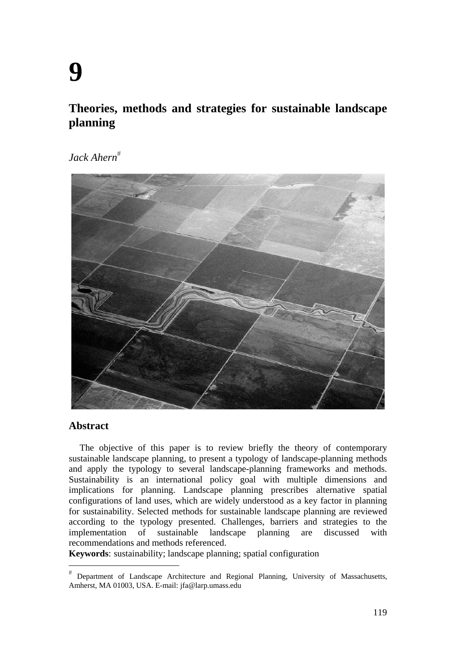# **9**

**Theories, methods and strategies for sustainable landscape planning**

*Jack Ahern*



# **Abstract**

The objective of this paper is to review briefly the theory of contemporary sustainable landscape planning, to present a typology of landscape-planning methods and apply the typology to several landscape-planning frameworks and methods. Sustainability is an international policy goal with multiple dimensions and implications for planning. Landscape planning prescribes alternative spatial configurations of land uses, which are widely understood as a key factor in planning for sustainability. Selected methods for sustainable landscape planning are reviewed according to the typology presented. Challenges, barriers and strategies to the implementation of sustainable landscape planning are discussed with recommendations and methods referenced.

**Keywords**: sustainability; landscape planning; spatial configuration

Department of Landscape Architecture and Regional Planning, University of Massachusetts, Amherst, MA 01003, USA. E-mail: jfa@larp.umass.edu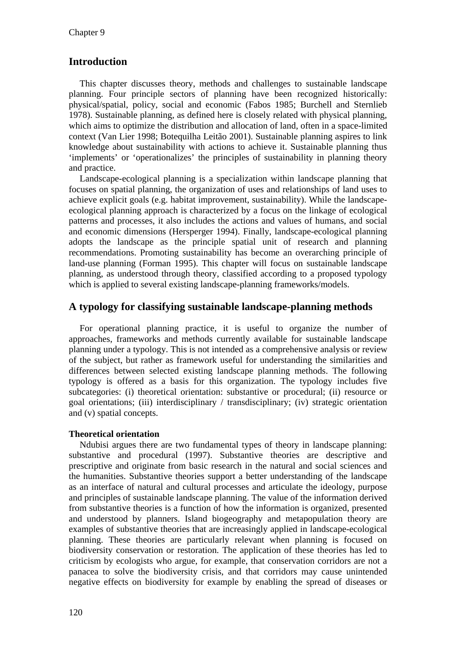# **Introduction**

This chapter discusses theory, methods and challenges to sustainable landscape planning. Four principle sectors of planning have been recognized historically: physical/spatial, policy, social and economic (Fabos 1985; Burchell and Sternlieb 1978). Sustainable planning, as defined here is closely related with physical planning, which aims to optimize the distribution and allocation of land, often in a space-limited context (Van Lier 1998; Botequilha Leitão 2001). Sustainable planning aspires to link knowledge about sustainability with actions to achieve it. Sustainable planning thus 'implements' or 'operationalizes' the principles of sustainability in planning theory and practice.

Landscape-ecological planning is a specialization within landscape planning that focuses on spatial planning, the organization of uses and relationships of land uses to achieve explicit goals (e.g. habitat improvement, sustainability). While the landscapeecological planning approach is characterized by a focus on the linkage of ecological patterns and processes, it also includes the actions and values of humans, and social and economic dimensions (Hersperger 1994). Finally, landscape-ecological planning adopts the landscape as the principle spatial unit of research and planning recommendations. Promoting sustainability has become an overarching principle of land-use planning (Forman 1995). This chapter will focus on sustainable landscape planning, as understood through theory, classified according to a proposed typology which is applied to several existing landscape-planning frameworks/models.

# **A typology for classifying sustainable landscape-planning methods**

For operational planning practice, it is useful to organize the number of approaches, frameworks and methods currently available for sustainable landscape planning under a typology. This is not intended as a comprehensive analysis or review of the subject, but rather as framework useful for understanding the similarities and differences between selected existing landscape planning methods. The following typology is offered as a basis for this organization. The typology includes five subcategories: (i) theoretical orientation: substantive or procedural; (ii) resource or goal orientations; (iii) interdisciplinary / transdisciplinary; (iv) strategic orientation and (v) spatial concepts.

## **Theoretical orientation**

Ndubisi argues there are two fundamental types of theory in landscape planning: substantive and procedural (1997). Substantive theories are descriptive and prescriptive and originate from basic research in the natural and social sciences and the humanities. Substantive theories support a better understanding of the landscape as an interface of natural and cultural processes and articulate the ideology, purpose and principles of sustainable landscape planning. The value of the information derived from substantive theories is a function of how the information is organized, presented and understood by planners. Island biogeography and metapopulation theory are examples of substantive theories that are increasingly applied in landscape-ecological planning. These theories are particularly relevant when planning is focused on biodiversity conservation or restoration. The application of these theories has led to criticism by ecologists who argue, for example, that conservation corridors are not a panacea to solve the biodiversity crisis, and that corridors may cause unintended negative effects on biodiversity for example by enabling the spread of diseases or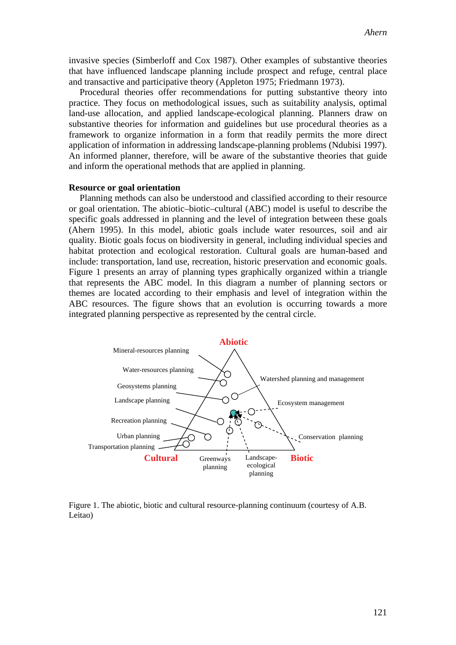invasive species (Simberloff and Cox 1987). Other examples of substantive theories that have influenced landscape planning include prospect and refuge, central place and transactive and participative theory (Appleton 1975; Friedmann 1973).

Procedural theories offer recommendations for putting substantive theory into practice. They focus on methodological issues, such as suitability analysis, optimal land-use allocation, and applied landscape-ecological planning. Planners draw on substantive theories for information and guidelines but use procedural theories as a framework to organize information in a form that readily permits the more direct application of information in addressing landscape-planning problems (Ndubisi 1997). An informed planner, therefore, will be aware of the substantive theories that guide and inform the operational methods that are applied in planning.

#### **Resource or goal orientation**

Planning methods can also be understood and classified according to their resource or goal orientation. The abiotic–biotic–cultural (ABC) model is useful to describe the specific goals addressed in planning and the level of integration between these goals (Ahern 1995). In this model, abiotic goals include water resources, soil and air quality. Biotic goals focus on biodiversity in general, including individual species and habitat protection and ecological restoration. Cultural goals are human-based and include: transportation, land use, recreation, historic preservation and economic goals. Figure 1 presents an array of planning types graphically organized within a triangle that represents the ABC model. In this diagram a number of planning sectors or themes are located according to their emphasis and level of integration within the ABC resources. The figure shows that an evolution is occurring towards a more integrated planning perspective as represented by the central circle.



Figure 1. The abiotic, biotic and cultural resource-planning continuum (courtesy of A.B. Leitao)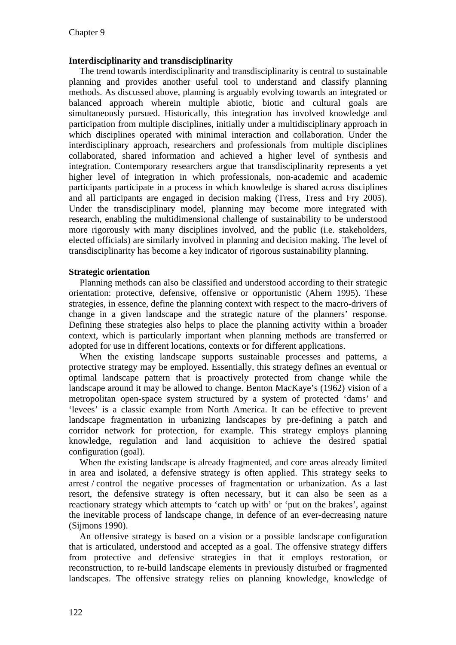## **Interdisciplinarity and transdisciplinarity**

The trend towards interdisciplinarity and transdisciplinarity is central to sustainable planning and provides another useful tool to understand and classify planning methods. As discussed above, planning is arguably evolving towards an integrated or balanced approach wherein multiple abiotic, biotic and cultural goals are simultaneously pursued. Historically, this integration has involved knowledge and participation from multiple disciplines, initially under a multidisciplinary approach in which disciplines operated with minimal interaction and collaboration. Under the interdisciplinary approach, researchers and professionals from multiple disciplines collaborated, shared information and achieved a higher level of synthesis and integration. Contemporary researchers argue that transdisciplinarity represents a yet higher level of integration in which professionals, non-academic and academic participants participate in a process in which knowledge is shared across disciplines and all participants are engaged in decision making (Tress, Tress and Fry 2005). Under the transdisciplinary model, planning may become more integrated with research, enabling the multidimensional challenge of sustainability to be understood more rigorously with many disciplines involved, and the public (i.e. stakeholders, elected officials) are similarly involved in planning and decision making. The level of transdisciplinarity has become a key indicator of rigorous sustainability planning.

## **Strategic orientation**

Planning methods can also be classified and understood according to their strategic orientation: protective, defensive, offensive or opportunistic (Ahern 1995). These strategies, in essence, define the planning context with respect to the macro-drivers of change in a given landscape and the strategic nature of the planners' response. Defining these strategies also helps to place the planning activity within a broader context, which is particularly important when planning methods are transferred or adopted for use in different locations, contexts or for different applications.

When the existing landscape supports sustainable processes and patterns, a protective strategy may be employed. Essentially, this strategy defines an eventual or optimal landscape pattern that is proactively protected from change while the landscape around it may be allowed to change. Benton MacKaye's (1962) vision of a metropolitan open-space system structured by a system of protected 'dams' and 'levees' is a classic example from North America. It can be effective to prevent landscape fragmentation in urbanizing landscapes by pre-defining a patch and corridor network for protection, for example. This strategy employs planning knowledge, regulation and land acquisition to achieve the desired spatial configuration (goal).

When the existing landscape is already fragmented, and core areas already limited in area and isolated, a defensive strategy is often applied. This strategy seeks to arrest / control the negative processes of fragmentation or urbanization. As a last resort, the defensive strategy is often necessary, but it can also be seen as a reactionary strategy which attempts to 'catch up with' or 'put on the brakes', against the inevitable process of landscape change, in defence of an ever-decreasing nature (Sijmons 1990).

An offensive strategy is based on a vision or a possible landscape configuration that is articulated, understood and accepted as a goal. The offensive strategy differs from protective and defensive strategies in that it employs restoration, or reconstruction, to re-build landscape elements in previously disturbed or fragmented landscapes. The offensive strategy relies on planning knowledge, knowledge of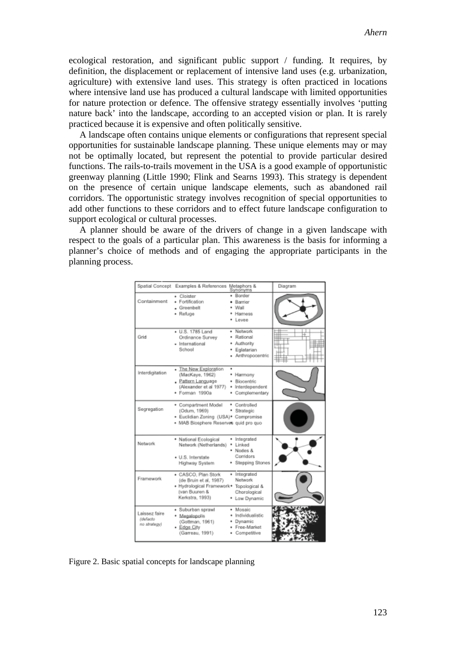ecological restoration, and significant public support / funding. It requires, by definition, the displacement or replacement of intensive land uses (e.g. urbanization, agriculture) with extensive land uses. This strategy is often practiced in locations where intensive land use has produced a cultural landscape with limited opportunities for nature protection or defence. The offensive strategy essentially involves 'putting nature back' into the landscape, according to an accepted vision or plan. It is rarely practiced because it is expensive and often politically sensitive.

A landscape often contains unique elements or configurations that represent special opportunities for sustainable landscape planning. These unique elements may or may not be optimally located, but represent the potential to provide particular desired functions. The rails-to-trails movement in the USA is a good example of opportunistic greenway planning (Little 1990; Flink and Searns 1993). This strategy is dependent on the presence of certain unique landscape elements, such as abandoned rail corridors. The opportunistic strategy involves recognition of special opportunities to add other functions to these corridors and to effect future landscape configuration to support ecological or cultural processes.

A planner should be aware of the drivers of change in a given landscape with respect to the goals of a particular plan. This awareness is the basis for informing a planner's choice of methods and of engaging the appropriate participants in the planning process.

|                                          | Spatial Concept Examples & References Metaphors &                                                                             | Synonyms                                                                     | Diagram |
|------------------------------------------|-------------------------------------------------------------------------------------------------------------------------------|------------------------------------------------------------------------------|---------|
| Containment                              | · Cloister<br>· Fortification<br>- Greenbelt<br>· Refuge                                                                      | · Border<br>+ Barrier<br>Wall<br>Hamess.<br>Levee                            |         |
| Grid                                     | + U.S. 1785 Land<br>Ordinance Survey<br>· International<br>School                                                             | Network.<br>۰<br>Rational<br>Authority<br>Eglatarian<br>Anthropocentric      |         |
| Interdigitation                          | - The New Exploration<br>(MacKaye, 1962)<br>. Pattern Language<br>(Alexander et al 1977)<br>· Forman 1990a                    | Harmony<br>· Biocentric<br>Interdependent<br>٠<br>· Complementary            |         |
| Segregation                              | · Compartment Model<br>(Odum, 1969)<br>· Euclidian Zoning (USA)* Compromise<br>· MAB Biosphere Reserves quid pro quo          | * Controlled<br>· Strategic                                                  |         |
| Network                                  | • National Ecological<br>Network (Netherlands)<br>· U.S. Interstate<br>Highway System                                         | · Integrated<br>Linked<br>· Nodes &<br>Corridors<br>* Stepping Stones        |         |
| Framework                                | + CASCO, Plan Stork<br>(de Bruin et al. 1987)<br>• Hydrological Framework • Topological &<br>(van Buuren &<br>Kerkstra, 1993) | · Integrated<br>Network<br>Chorological<br>* Low Dynamic                     |         |
| Laissez faire<br>(defecto<br>hgehavta on | · Suburban sprawl<br>· Megalopolis<br>(Gottman, 1961)<br>· Edge City<br>(Garreau, 1991)                                       | · Mosaic<br>· Individualistic<br>· Dynamic<br>· Free-Market<br>· Competitive |         |

Figure 2. Basic spatial concepts for landscape planning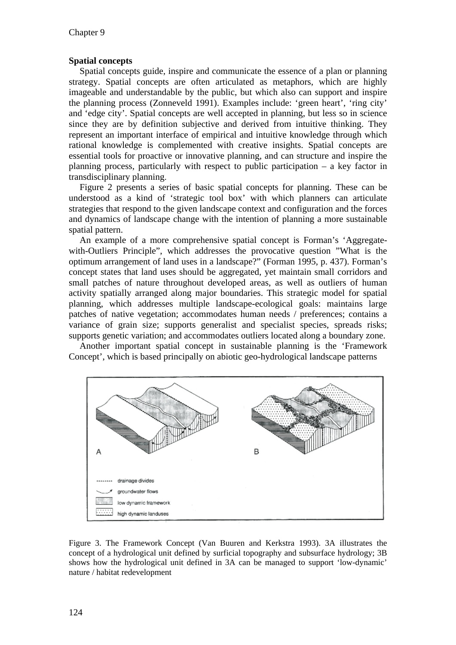## **Spatial concepts**

Spatial concepts guide, inspire and communicate the essence of a plan or planning strategy. Spatial concepts are often articulated as metaphors, which are highly imageable and understandable by the public, but which also can support and inspire the planning process (Zonneveld 1991). Examples include: 'green heart', 'ring city' and 'edge city'. Spatial concepts are well accepted in planning, but less so in science since they are by definition subjective and derived from intuitive thinking. They represent an important interface of empirical and intuitive knowledge through which rational knowledge is complemented with creative insights. Spatial concepts are essential tools for proactive or innovative planning, and can structure and inspire the planning process, particularly with respect to public participation – a key factor in transdisciplinary planning.

Figure 2 presents a series of basic spatial concepts for planning. These can be understood as a kind of 'strategic tool box' with which planners can articulate strategies that respond to the given landscape context and configuration and the forces and dynamics of landscape change with the intention of planning a more sustainable spatial pattern.

An example of a more comprehensive spatial concept is Forman's 'Aggregatewith-Outliers Principle", which addresses the provocative question "What is the optimum arrangement of land uses in a landscape?" (Forman 1995, p. 437). Forman's concept states that land uses should be aggregated, yet maintain small corridors and small patches of nature throughout developed areas, as well as outliers of human activity spatially arranged along major boundaries. This strategic model for spatial planning, which addresses multiple landscape-ecological goals: maintains large patches of native vegetation; accommodates human needs / preferences; contains a variance of grain size; supports generalist and specialist species, spreads risks; supports genetic variation; and accommodates outliers located along a boundary zone.

Another important spatial concept in sustainable planning is the 'Framework Concept', which is based principally on abiotic geo-hydrological landscape patterns



Figure 3. The Framework Concept (Van Buuren and Kerkstra 1993). 3A illustrates the concept of a hydrological unit defined by surficial topography and subsurface hydrology; 3B shows how the hydrological unit defined in 3A can be managed to support 'low-dynamic' nature / habitat redevelopment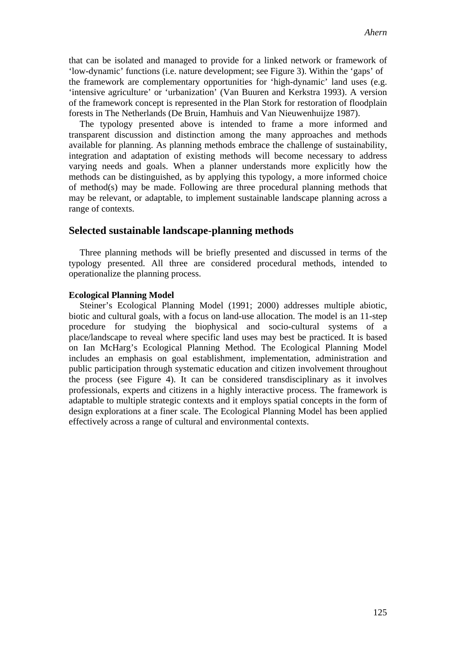that can be isolated and managed to provide for a linked network or framework of 'low-dynamic' functions (i.e. nature development; see Figure 3). Within the 'gaps' of the framework are complementary opportunities for 'high-dynamic' land uses (e.g. 'intensive agriculture' or 'urbanization' (Van Buuren and Kerkstra 1993). A version of the framework concept is represented in the Plan Stork for restoration of floodplain forests in The Netherlands (De Bruin, Hamhuis and Van Nieuwenhuijze 1987).

The typology presented above is intended to frame a more informed and transparent discussion and distinction among the many approaches and methods available for planning. As planning methods embrace the challenge of sustainability, integration and adaptation of existing methods will become necessary to address varying needs and goals. When a planner understands more explicitly how the methods can be distinguished, as by applying this typology, a more informed choice of method(s) may be made. Following are three procedural planning methods that may be relevant, or adaptable, to implement sustainable landscape planning across a range of contexts.

#### **Selected sustainable landscape-planning methods**

Three planning methods will be briefly presented and discussed in terms of the typology presented. All three are considered procedural methods, intended to operationalize the planning process.

#### **Ecological Planning Model**

Steiner's Ecological Planning Model (1991; 2000) addresses multiple abiotic, biotic and cultural goals, with a focus on land-use allocation. The model is an 11-step procedure for studying the biophysical and socio-cultural systems of a place/landscape to reveal where specific land uses may best be practiced. It is based on Ian McHarg's Ecological Planning Method. The Ecological Planning Model includes an emphasis on goal establishment, implementation, administration and public participation through systematic education and citizen involvement throughout the process (see Figure 4). It can be considered transdisciplinary as it involves professionals, experts and citizens in a highly interactive process. The framework is adaptable to multiple strategic contexts and it employs spatial concepts in the form of design explorations at a finer scale. The Ecological Planning Model has been applied effectively across a range of cultural and environmental contexts.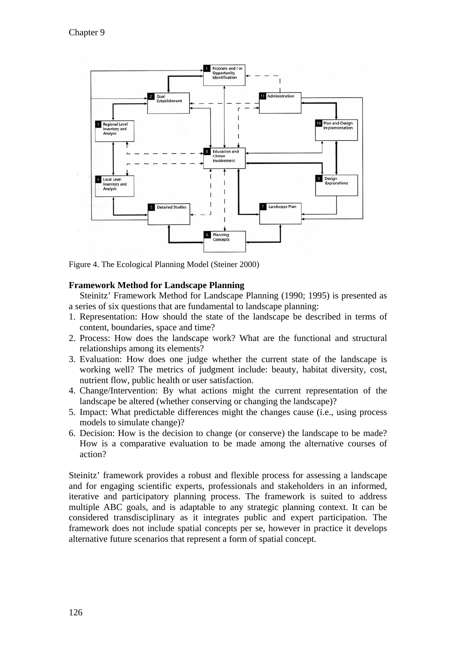

Figure 4. The Ecological Planning Model (Steiner 2000)

#### **Framework Method for Landscape Planning**

Steinitz' Framework Method for Landscape Planning (1990; 1995) is presented as a series of six questions that are fundamental to landscape planning:

- 1. Representation: How should the state of the landscape be described in terms of content, boundaries, space and time?
- 2. Process: How does the landscape work? What are the functional and structural relationships among its elements?
- 3. Evaluation: How does one judge whether the current state of the landscape is working well? The metrics of judgment include: beauty, habitat diversity, cost, nutrient flow, public health or user satisfaction.
- 4. Change/Intervention: By what actions might the current representation of the landscape be altered (whether conserving or changing the landscape)?
- 5. Impact: What predictable differences might the changes cause (i.e., using process models to simulate change)?
- 6. Decision: How is the decision to change (or conserve) the landscape to be made? How is a comparative evaluation to be made among the alternative courses of action?

Steinitz' framework provides a robust and flexible process for assessing a landscape and for engaging scientific experts, professionals and stakeholders in an informed, iterative and participatory planning process. The framework is suited to address multiple ABC goals, and is adaptable to any strategic planning context. It can be considered transdisciplinary as it integrates public and expert participation. The framework does not include spatial concepts per se, however in practice it develops alternative future scenarios that represent a form of spatial concept.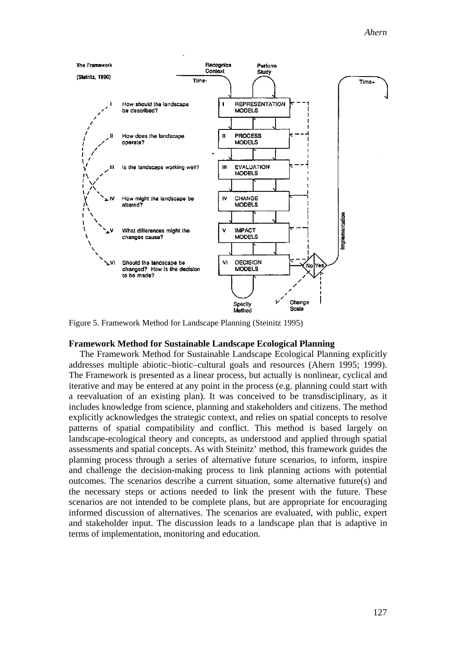

Figure 5. Framework Method for Landscape Planning (Steinitz 1995)

#### **Framework Method for Sustainable Landscape Ecological Planning**

The Framework Method for Sustainable Landscape Ecological Planning explicitly addresses multiple abiotic–biotic–cultural goals and resources (Ahern 1995; 1999). The Framework is presented as a linear process, but actually is nonlinear, cyclical and iterative and may be entered at any point in the process (e.g. planning could start with a reevaluation of an existing plan). It was conceived to be transdisciplinary, as it includes knowledge from science, planning and stakeholders and citizens. The method explicitly acknowledges the strategic context, and relies on spatial concepts to resolve patterns of spatial compatibility and conflict. This method is based largely on landscape-ecological theory and concepts, as understood and applied through spatial assessments and spatial concepts. As with Steinitz' method, this framework guides the planning process through a series of alternative future scenarios, to inform, inspire and challenge the decision-making process to link planning actions with potential outcomes. The scenarios describe a current situation, some alternative future(s) and the necessary steps or actions needed to link the present with the future. These scenarios are not intended to be complete plans, but are appropriate for encouraging informed discussion of alternatives. The scenarios are evaluated, with public, expert and stakeholder input. The discussion leads to a landscape plan that is adaptive in terms of implementation, monitoring and education.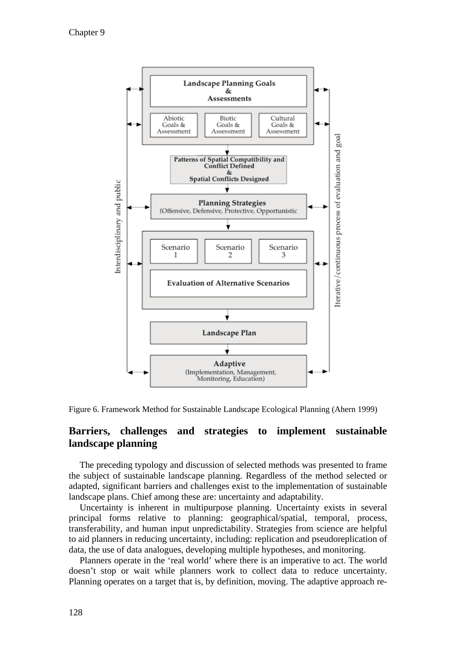

Figure 6. Framework Method for Sustainable Landscape Ecological Planning (Ahern 1999)

# **Barriers, challenges and strategies to implement sustainable landscape planning**

The preceding typology and discussion of selected methods was presented to frame the subject of sustainable landscape planning. Regardless of the method selected or adapted, significant barriers and challenges exist to the implementation of sustainable landscape plans. Chief among these are: uncertainty and adaptability.

Uncertainty is inherent in multipurpose planning. Uncertainty exists in several principal forms relative to planning: geographical/spatial, temporal, process, transferability, and human input unpredictability. Strategies from science are helpful to aid planners in reducing uncertainty, including: replication and pseudoreplication of data, the use of data analogues, developing multiple hypotheses, and monitoring.

Planners operate in the 'real world' where there is an imperative to act. The world doesn't stop or wait while planners work to collect data to reduce uncertainty. Planning operates on a target that is, by definition, moving. The adaptive approach re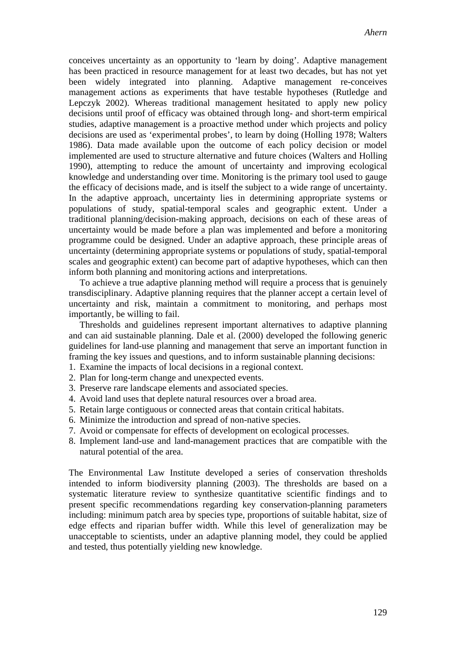conceives uncertainty as an opportunity to 'learn by doing'. Adaptive management has been practiced in resource management for at least two decades, but has not yet been widely integrated into planning. Adaptive management re-conceives management actions as experiments that have testable hypotheses (Rutledge and Lepczyk 2002). Whereas traditional management hesitated to apply new policy decisions until proof of efficacy was obtained through long- and short-term empirical studies, adaptive management is a proactive method under which projects and policy decisions are used as 'experimental probes', to learn by doing (Holling 1978; Walters 1986). Data made available upon the outcome of each policy decision or model implemented are used to structure alternative and future choices (Walters and Holling 1990), attempting to reduce the amount of uncertainty and improving ecological knowledge and understanding over time. Monitoring is the primary tool used to gauge the efficacy of decisions made, and is itself the subject to a wide range of uncertainty. In the adaptive approach, uncertainty lies in determining appropriate systems or populations of study, spatial-temporal scales and geographic extent. Under a traditional planning/decision-making approach, decisions on each of these areas of uncertainty would be made before a plan was implemented and before a monitoring programme could be designed. Under an adaptive approach, these principle areas of uncertainty (determining appropriate systems or populations of study, spatial-temporal scales and geographic extent) can become part of adaptive hypotheses, which can then inform both planning and monitoring actions and interpretations.

To achieve a true adaptive planning method will require a process that is genuinely transdisciplinary. Adaptive planning requires that the planner accept a certain level of uncertainty and risk, maintain a commitment to monitoring, and perhaps most importantly, be willing to fail.

Thresholds and guidelines represent important alternatives to adaptive planning and can aid sustainable planning. Dale et al. (2000) developed the following generic guidelines for land-use planning and management that serve an important function in framing the key issues and questions, and to inform sustainable planning decisions:

- 1. Examine the impacts of local decisions in a regional context.
- 2. Plan for long-term change and unexpected events.
- 3. Preserve rare landscape elements and associated species.
- 4. Avoid land uses that deplete natural resources over a broad area.
- 5. Retain large contiguous or connected areas that contain critical habitats.
- 6. Minimize the introduction and spread of non-native species.
- 7. Avoid or compensate for effects of development on ecological processes.
- 8. Implement land-use and land-management practices that are compatible with the natural potential of the area.

The Environmental Law Institute developed a series of conservation thresholds intended to inform biodiversity planning (2003). The thresholds are based on a systematic literature review to synthesize quantitative scientific findings and to present specific recommendations regarding key conservation-planning parameters including: minimum patch area by species type, proportions of suitable habitat, size of edge effects and riparian buffer width. While this level of generalization may be unacceptable to scientists, under an adaptive planning model, they could be applied and tested, thus potentially yielding new knowledge.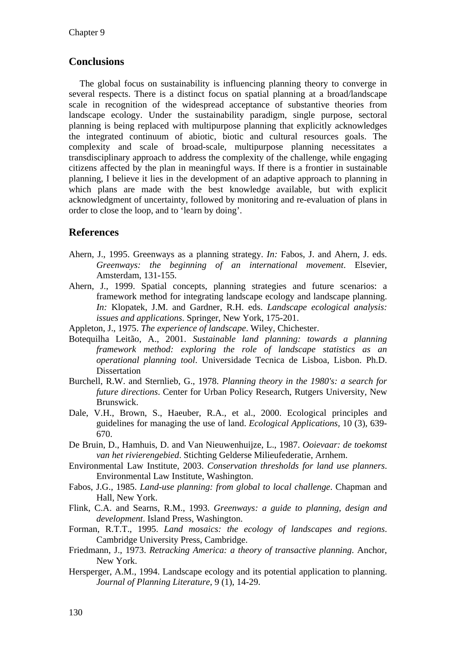# **Conclusions**

The global focus on sustainability is influencing planning theory to converge in several respects. There is a distinct focus on spatial planning at a broad/landscape scale in recognition of the widespread acceptance of substantive theories from landscape ecology. Under the sustainability paradigm, single purpose, sectoral planning is being replaced with multipurpose planning that explicitly acknowledges the integrated continuum of abiotic, biotic and cultural resources goals. The complexity and scale of broad-scale, multipurpose planning necessitates a transdisciplinary approach to address the complexity of the challenge, while engaging citizens affected by the plan in meaningful ways. If there is a frontier in sustainable planning, I believe it lies in the development of an adaptive approach to planning in which plans are made with the best knowledge available, but with explicit acknowledgment of uncertainty, followed by monitoring and re-evaluation of plans in order to close the loop, and to 'learn by doing'.

# **References**

- Ahern, J., 1995. Greenways as a planning strategy. *In:* Fabos, J. and Ahern, J. eds. *Greenways: the beginning of an international movement*. Elsevier, Amsterdam, 131-155.
- Ahern, J., 1999. Spatial concepts, planning strategies and future scenarios: a framework method for integrating landscape ecology and landscape planning. *In:* Klopatek, J.M. and Gardner, R.H. eds. *Landscape ecological analysis: issues and applications*. Springer, New York, 175-201.
- Appleton, J., 1975. *The experience of landscape*. Wiley, Chichester.
- Botequilha Leitão, A., 2001. *Sustainable land planning: towards a planning framework method: exploring the role of landscape statistics as an operational planning tool*. Universidade Tecnica de Lisboa, Lisbon. Ph.D. Dissertation
- Burchell, R.W. and Sternlieb, G., 1978. *Planning theory in the 1980's: a search for future directions*. Center for Urban Policy Research, Rutgers University, New Brunswick.
- Dale, V.H., Brown, S., Haeuber, R.A., et al., 2000. Ecological principles and guidelines for managing the use of land. *Ecological Applications,* 10 (3), 639- 670.
- De Bruin, D., Hamhuis, D. and Van Nieuwenhuijze, L., 1987. *Ooievaar: de toekomst van het rivierengebied*. Stichting Gelderse Milieufederatie, Arnhem.
- Environmental Law Institute, 2003. *Conservation thresholds for land use planners*. Environmental Law Institute, Washington.
- Fabos, J.G., 1985. *Land-use planning: from global to local challenge*. Chapman and Hall, New York.
- Flink, C.A. and Searns, R.M., 1993. *Greenways: a guide to planning, design and development*. Island Press, Washington.
- Forman, R.T.T., 1995. *Land mosaics: the ecology of landscapes and regions*. Cambridge University Press, Cambridge.
- Friedmann, J., 1973. *Retracking America: a theory of transactive planning*. Anchor, New York.
- Hersperger, A.M., 1994. Landscape ecology and its potential application to planning. *Journal of Planning Literature,* 9 (1), 14-29.